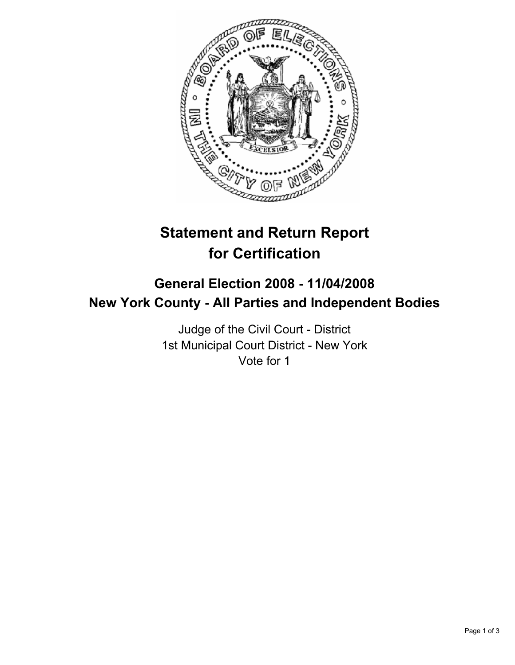

# **Statement and Return Report for Certification**

# **General Election 2008 - 11/04/2008 New York County - All Parties and Independent Bodies**

Judge of the Civil Court - District 1st Municipal Court District - New York Vote for 1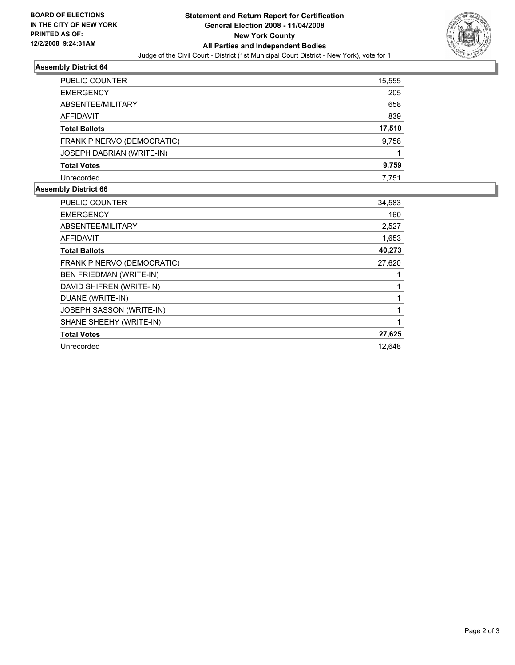

## **Assembly District 64**

| PUBLIC COUNTER             | 15,555 |
|----------------------------|--------|
| <b>EMERGENCY</b>           | 205    |
| ABSENTEE/MILITARY          | 658    |
| AFFIDAVIT                  | 839    |
| <b>Total Ballots</b>       | 17,510 |
| FRANK P NERVO (DEMOCRATIC) | 9,758  |
| JOSEPH DABRIAN (WRITE-IN)  |        |
| <b>Total Votes</b>         | 9,759  |
| Unrecorded                 | 7,751  |

#### **Assembly District 66**

| <b>PUBLIC COUNTER</b>      | 34,583 |
|----------------------------|--------|
| <b>EMERGENCY</b>           | 160    |
| ABSENTEE/MILITARY          | 2,527  |
| <b>AFFIDAVIT</b>           | 1,653  |
| <b>Total Ballots</b>       | 40,273 |
| FRANK P NERVO (DEMOCRATIC) | 27,620 |
| BEN FRIEDMAN (WRITE-IN)    |        |
| DAVID SHIFREN (WRITE-IN)   |        |
| DUANE (WRITE-IN)           |        |
| JOSEPH SASSON (WRITE-IN)   |        |
| SHANE SHEEHY (WRITE-IN)    |        |
| <b>Total Votes</b>         | 27,625 |
| Unrecorded                 | 12,648 |